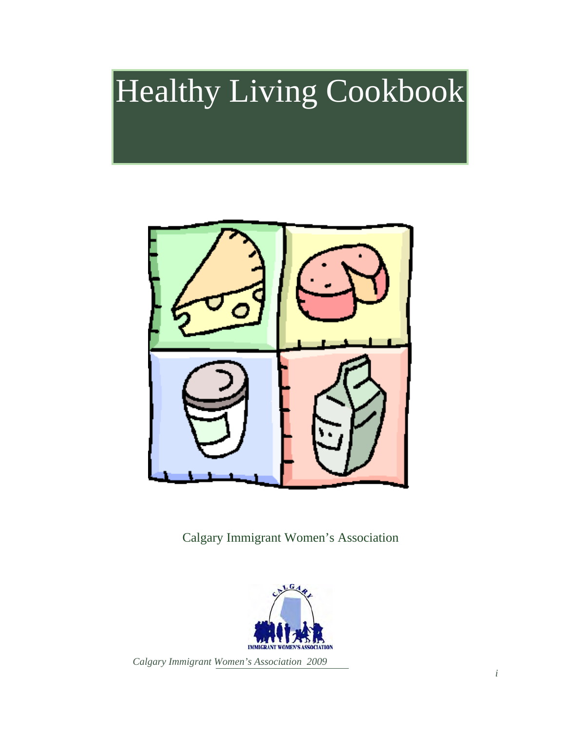# Healthy Living Cookbook



Calgary Immigrant Women's Association

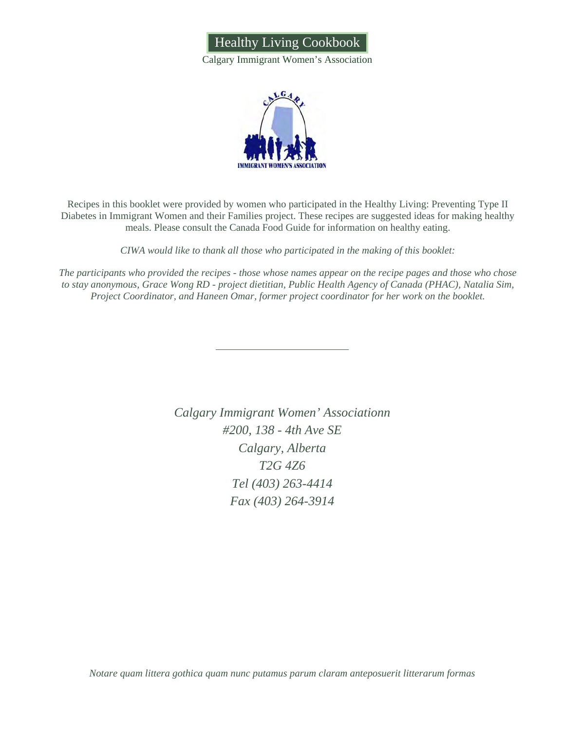

Calgary Immigrant Women's Association



Recipes in this booklet were provided by women who participated in the Healthy Living: Preventing Type II Diabetes in Immigrant Women and their Families project. These recipes are suggested ideas for making healthy meals. Please consult the Canada Food Guide for information on healthy eating.

*CIWA would like to thank all those who participated in the making of this booklet:* 

*The participants who provided the recipes - those whose names appear on the recipe pages and those who chose to stay anonymous, Grace Wong RD - project dietitian, Public Health Agency of Canada (PHAC), Natalia Sim, Project Coordinator, and Haneen Omar, former project coordinator for her work on the booklet.* 

> *Calgary Immigrant Women' Associationn #200, 138 - 4th Ave SE Calgary, Alberta T2G 4Z6 Tel (403) 263-4414 Fax (403) 264-3914*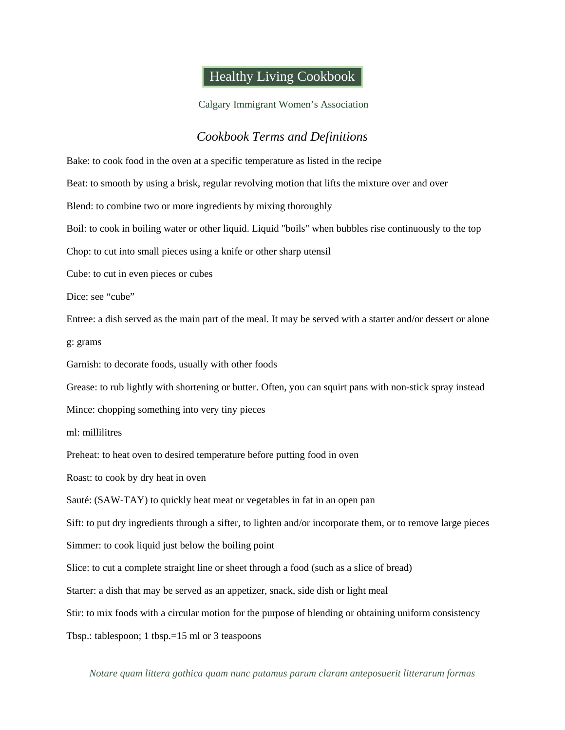### Healthy Living Cookbook

Calgary Immigrant Women's Association

#### *Cookbook Terms and Definitions*

Bake: to cook food in the oven at a specific temperature as listed in the recipe Beat: to smooth by using a brisk, regular revolving motion that lifts the mixture over and over Blend: to combine two or more ingredients by mixing thoroughly Boil: to cook in boiling water or other liquid. Liquid "boils" when bubbles rise continuously to the top Chop: to cut into small pieces using a knife or other sharp utensil Cube: to cut in even pieces or cubes Dice: see "cube" Entree: a dish served as the main part of the meal. It may be served with a starter and/or dessert or alone g: grams Garnish: to decorate foods, usually with other foods Grease: to rub lightly with shortening or butter. Often, you can squirt pans with non-stick spray instead Mince: chopping something into very tiny pieces ml: millilitres Preheat: to heat oven to desired temperature before putting food in oven Roast: to cook by dry heat in oven Sauté: (SAW-TAY) to quickly heat meat or vegetables in fat in an open pan Sift: to put dry ingredients through a sifter, to lighten and/or incorporate them, or to remove large pieces Simmer: to cook liquid just below the boiling point Slice: to cut a complete straight line or sheet through a food (such as a slice of bread) Starter: a dish that may be served as an appetizer, snack, side dish or light meal Stir: to mix foods with a circular motion for the purpose of blending or obtaining uniform consistency Tbsp.: tablespoon; 1 tbsp.=15 ml or 3 teaspoons

*Notare quam littera gothica quam nunc putamus parum claram anteposuerit litterarum formas*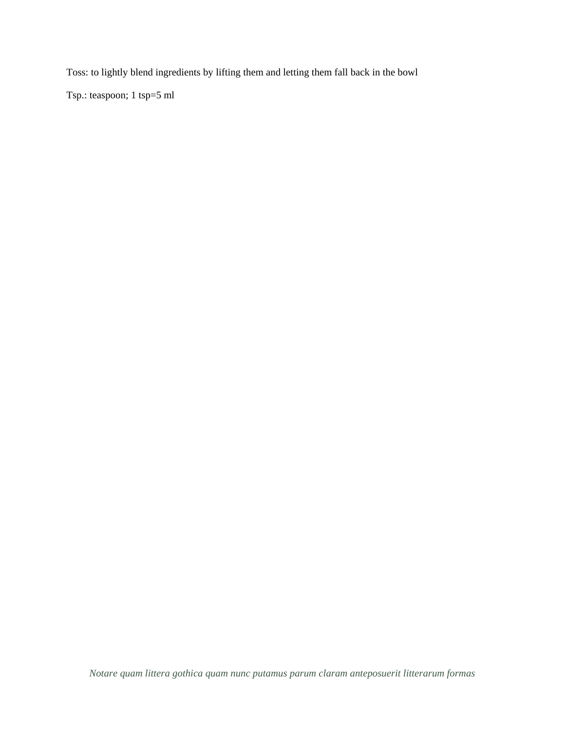Toss: to lightly blend ingredients by lifting them and letting them fall back in the bowl

Tsp.: teaspoon; 1 tsp=5 ml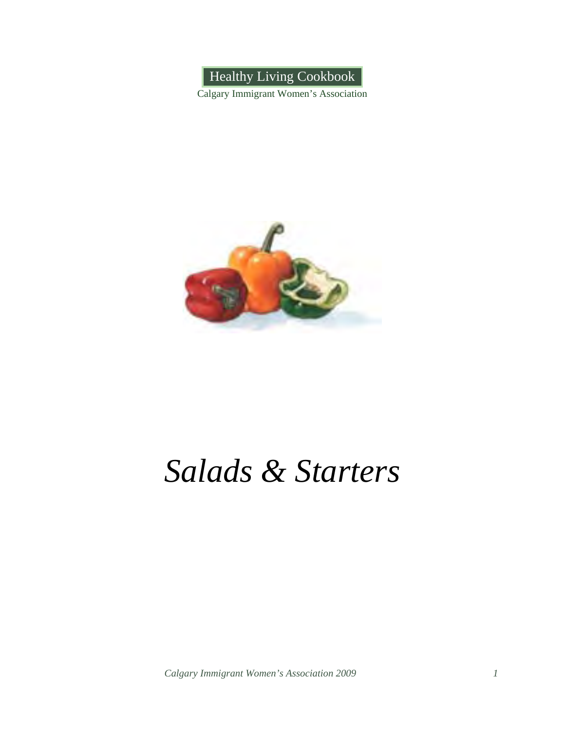

Calgary Immigrant Women's Association



## *Salads & Starters*

*Calgary Immigrant Women's Association 2009 1*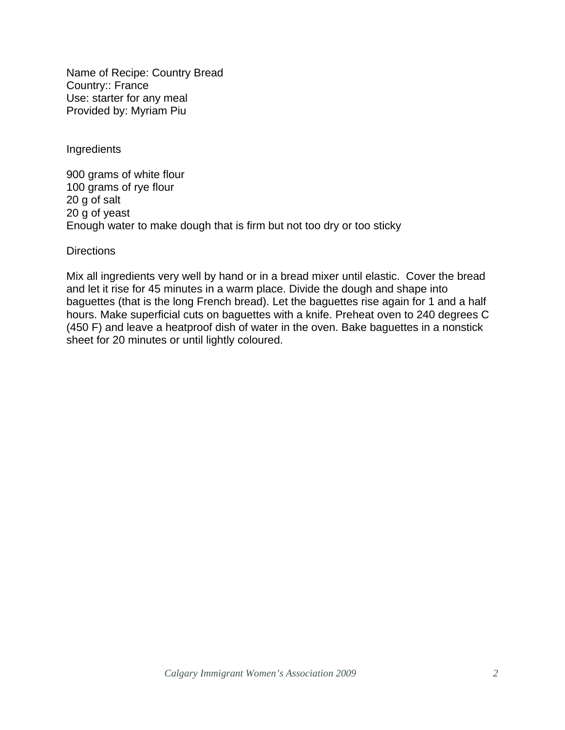Name of Recipe: Country Bread Country:: France Use: starter for any meal Provided by: Myriam Piu

**Ingredients** 

900 grams of white flour 100 grams of rye flour 20 g of salt 20 g of yeast Enough water to make dough that is firm but not too dry or too sticky

**Directions** 

Mix all ingredients very well by hand or in a bread mixer until elastic. Cover the bread and let it rise for 45 minutes in a warm place. Divide the dough and shape into baguettes (that is the long French bread). Let the baguettes rise again for 1 and a half hours. Make superficial cuts on baguettes with a knife. Preheat oven to 240 degrees C (450 F) and leave a heatproof dish of water in the oven. Bake baguettes in a nonstick sheet for 20 minutes or until lightly coloured.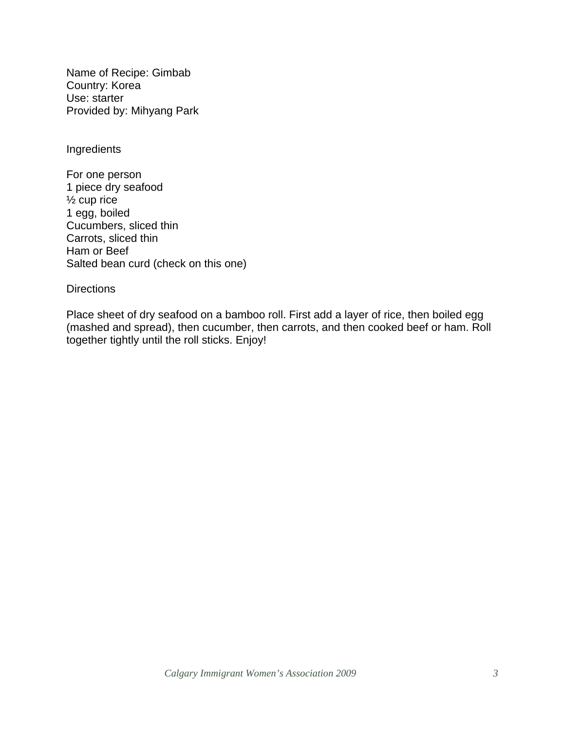Name of Recipe: Gimbab Country: Korea Use: starter Provided by: Mihyang Park

Ingredients

For one person 1 piece dry seafood ½ cup rice 1 egg, boiled Cucumbers, sliced thin Carrots, sliced thin Ham or Beef Salted bean curd (check on this one)

**Directions** 

Place sheet of dry seafood on a bamboo roll. First add a layer of rice, then boiled egg (mashed and spread), then cucumber, then carrots, and then cooked beef or ham. Roll together tightly until the roll sticks. Enjoy!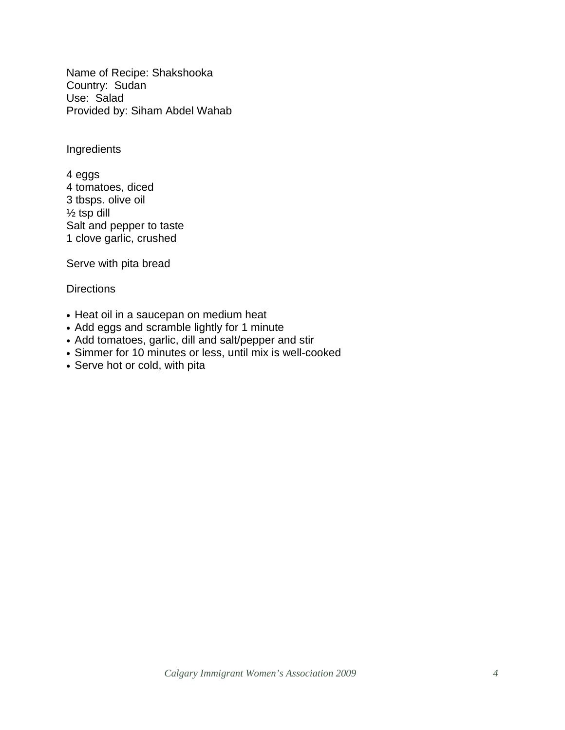Name of Recipe: Shakshooka Country: Sudan Use: Salad Provided by: Siham Abdel Wahab

Ingredients

4 eggs 4 tomatoes, diced 3 tbsps. olive oil  $\frac{1}{2}$  tsp dill Salt and pepper to taste 1 clove garlic, crushed

Serve with pita bread

- Heat oil in a saucepan on medium heat
- Add eggs and scramble lightly for 1 minute
- Add tomatoes, garlic, dill and salt/pepper and stir
- Simmer for 10 minutes or less, until mix is well-cooked
- Serve hot or cold, with pita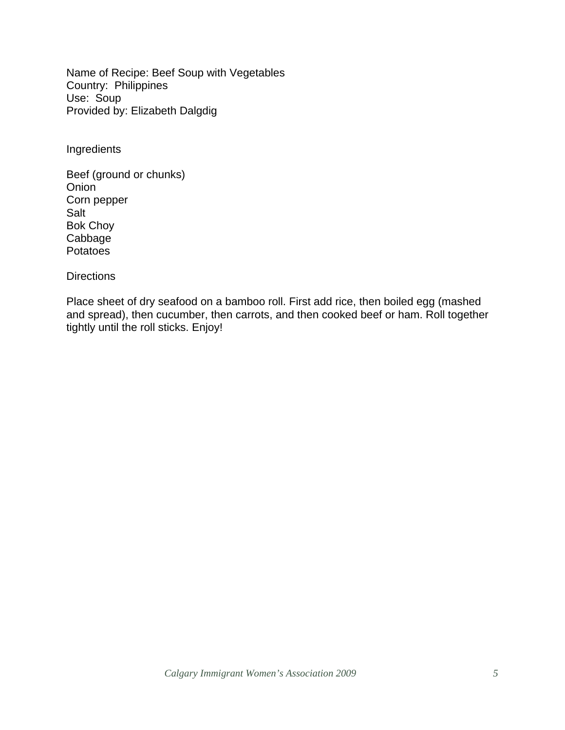Name of Recipe: Beef Soup with Vegetables Country: Philippines Use: Soup Provided by: Elizabeth Dalgdig

Ingredients

Beef (ground or chunks) Onion Corn pepper Salt Bok Choy Cabbage **Potatoes** 

**Directions** 

Place sheet of dry seafood on a bamboo roll. First add rice, then boiled egg (mashed and spread), then cucumber, then carrots, and then cooked beef or ham. Roll together tightly until the roll sticks. Enjoy!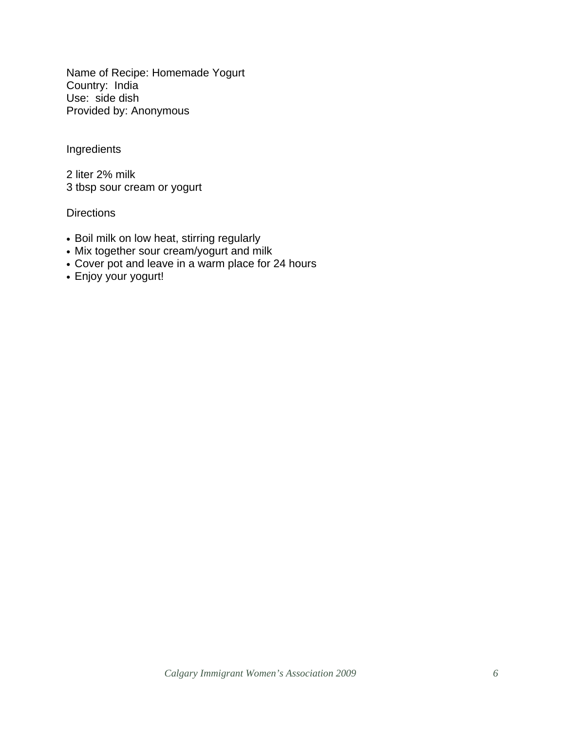Name of Recipe: Homemade Yogurt Country: India Use: side dish Provided by: Anonymous

Ingredients

2 liter 2% milk 3 tbsp sour cream or yogurt

- Boil milk on low heat, stirring regularly
- Mix together sour cream/yogurt and milk
- Cover pot and leave in a warm place for 24 hours
- Enjoy your yogurt!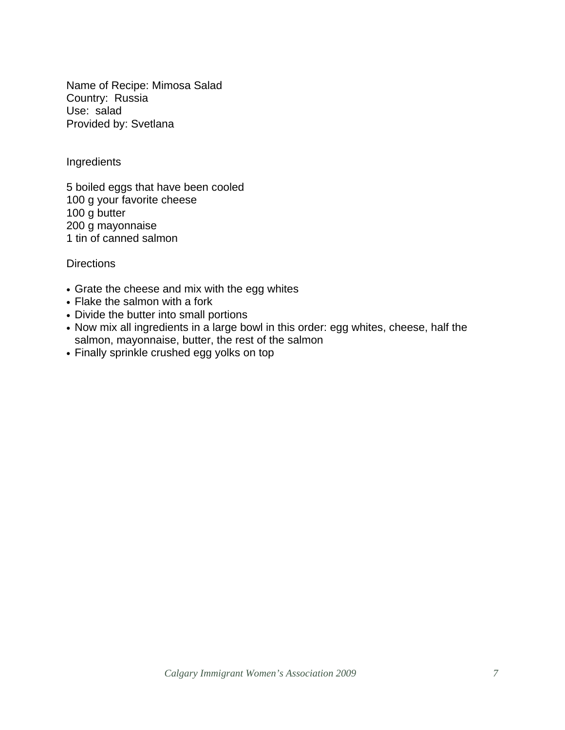Name of Recipe: Mimosa Salad Country: Russia Use: salad Provided by: Svetlana

**Ingredients** 

5 boiled eggs that have been cooled 100 g your favorite cheese 100 g butter 200 g mayonnaise 1 tin of canned salmon

- Grate the cheese and mix with the egg whites
- Flake the salmon with a fork
- Divide the butter into small portions
- Now mix all ingredients in a large bowl in this order: egg whites, cheese, half the salmon, mayonnaise, butter, the rest of the salmon
- Finally sprinkle crushed egg yolks on top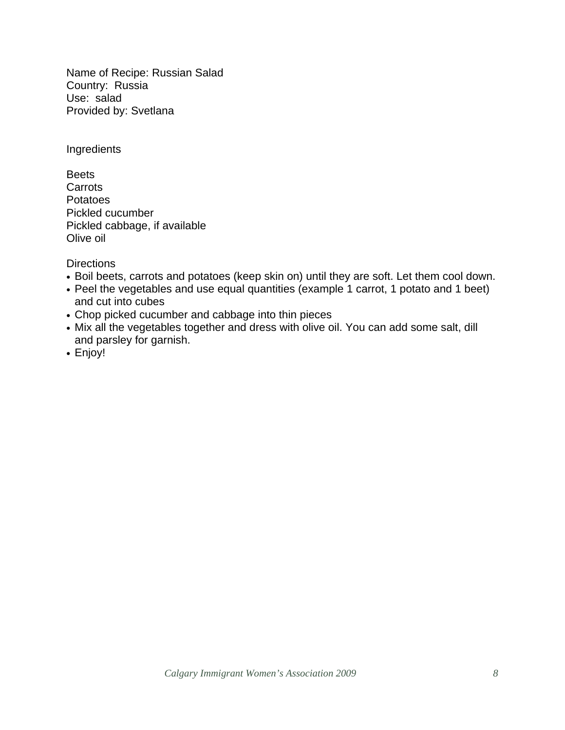Name of Recipe: Russian Salad Country: Russia Use: salad Provided by: Svetlana

Ingredients

**Beets Carrots** Potatoes Pickled cucumber Pickled cabbage, if available Olive oil

- Boil beets, carrots and potatoes (keep skin on) until they are soft. Let them cool down.
- Peel the vegetables and use equal quantities (example 1 carrot, 1 potato and 1 beet) and cut into cubes
- Chop picked cucumber and cabbage into thin pieces
- Mix all the vegetables together and dress with olive oil. You can add some salt, dill and parsley for garnish.
- Enjoy!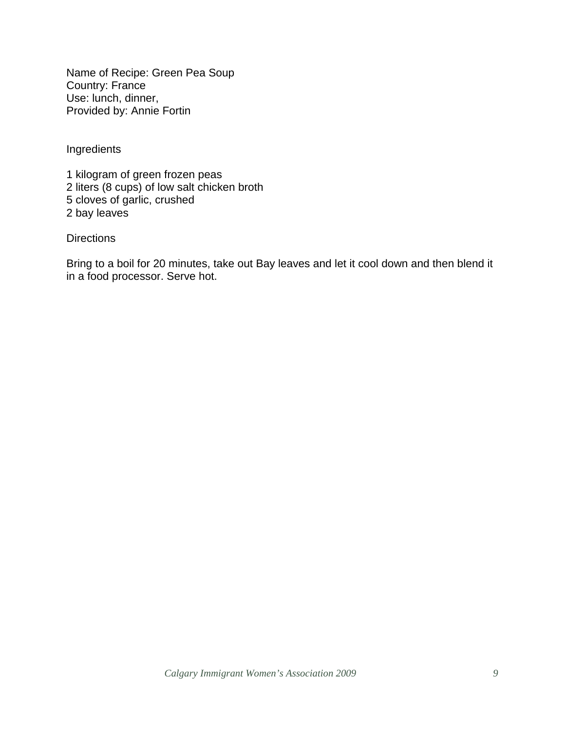Name of Recipe: Green Pea Soup Country: France Use: lunch, dinner, Provided by: Annie Fortin

Ingredients

1 kilogram of green frozen peas 2 liters (8 cups) of low salt chicken broth 5 cloves of garlic, crushed 2 bay leaves

#### **Directions**

Bring to a boil for 20 minutes, take out Bay leaves and let it cool down and then blend it in a food processor. Serve hot.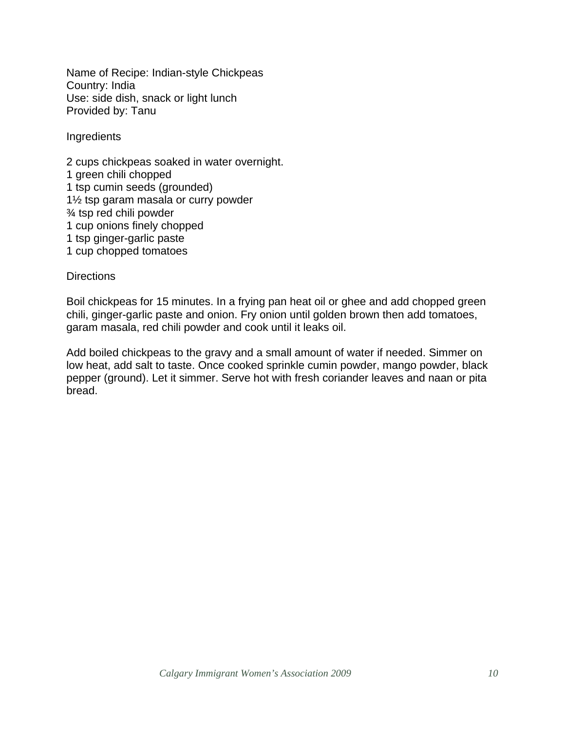Name of Recipe: Indian-style Chickpeas Country: India Use: side dish, snack or light lunch Provided by: Tanu

Ingredients

2 cups chickpeas soaked in water overnight. 1 green chili chopped 1 tsp cumin seeds (grounded) 1½ tsp garam masala or curry powder ¾ tsp red chili powder 1 cup onions finely chopped 1 tsp ginger-garlic paste 1 cup chopped tomatoes

**Directions** 

Boil chickpeas for 15 minutes. In a frying pan heat oil or ghee and add chopped green chili, ginger-garlic paste and onion. Fry onion until golden brown then add tomatoes, garam masala, red chili powder and cook until it leaks oil.

Add boiled chickpeas to the gravy and a small amount of water if needed. Simmer on low heat, add salt to taste. Once cooked sprinkle cumin powder, mango powder, black pepper (ground). Let it simmer. Serve hot with fresh coriander leaves and naan or pita bread.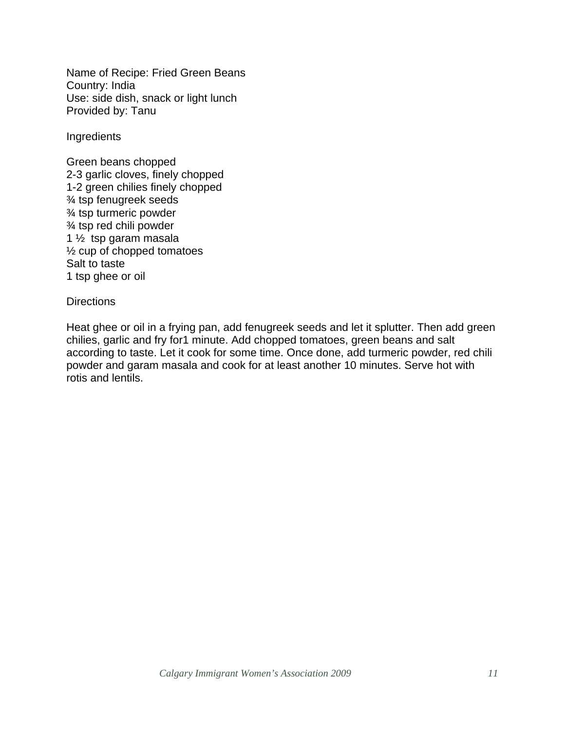Name of Recipe: Fried Green Beans Country: India Use: side dish, snack or light lunch Provided by: Tanu

Ingredients

Green beans chopped 2-3 garlic cloves, finely chopped 1-2 green chilies finely chopped ¾ tsp fenugreek seeds ¾ tsp turmeric powder ¾ tsp red chili powder 1 ½ tsp garam masala ½ cup of chopped tomatoes Salt to taste 1 tsp ghee or oil

#### **Directions**

Heat ghee or oil in a frying pan, add fenugreek seeds and let it splutter. Then add green chilies, garlic and fry for1 minute. Add chopped tomatoes, green beans and salt according to taste. Let it cook for some time. Once done, add turmeric powder, red chili powder and garam masala and cook for at least another 10 minutes. Serve hot with rotis and lentils.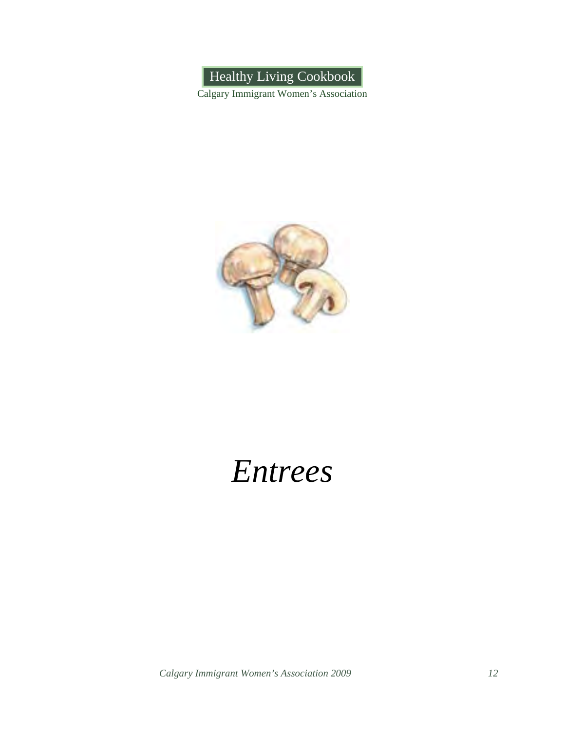Healthy Living Cookbook

Calgary Immigrant Women's Association



### *Entrees*

*Calgary Immigrant Women's Association 2009 12*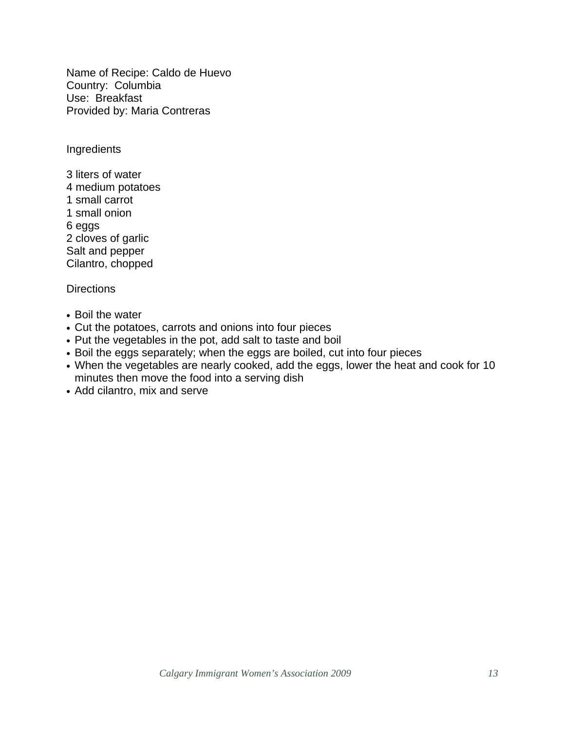Name of Recipe: Caldo de Huevo Country: Columbia Use: Breakfast Provided by: Maria Contreras

Ingredients

3 liters of water 4 medium potatoes 1 small carrot 1 small onion 6 eggs 2 cloves of garlic Salt and pepper Cilantro, chopped

- Boil the water
- Cut the potatoes, carrots and onions into four pieces
- Put the vegetables in the pot, add salt to taste and boil
- Boil the eggs separately; when the eggs are boiled, cut into four pieces
- When the vegetables are nearly cooked, add the eggs, lower the heat and cook for 10 minutes then move the food into a serving dish
- Add cilantro, mix and serve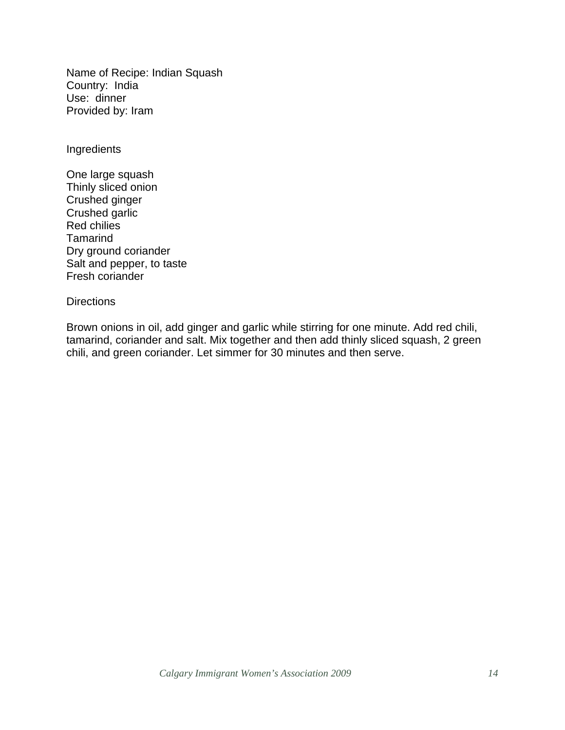Name of Recipe: Indian Squash Country: India Use: dinner Provided by: Iram

Ingredients

One large squash Thinly sliced onion Crushed ginger Crushed garlic Red chilies Tamarind Dry ground coriander Salt and pepper, to taste Fresh coriander

#### **Directions**

Brown onions in oil, add ginger and garlic while stirring for one minute. Add red chili, tamarind, coriander and salt. Mix together and then add thinly sliced squash, 2 green chili, and green coriander. Let simmer for 30 minutes and then serve.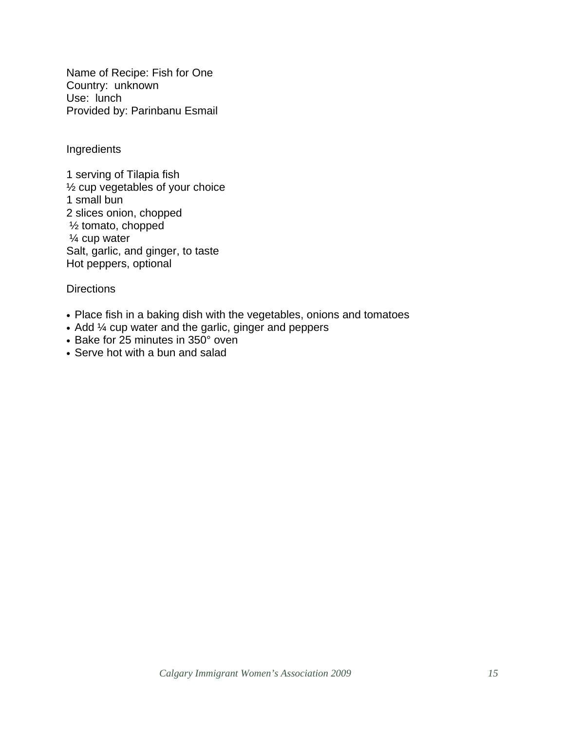Name of Recipe: Fish for One Country: unknown Use: lunch Provided by: Parinbanu Esmail

Ingredients

1 serving of Tilapia fish ½ cup vegetables of your choice 1 small bun 2 slices onion, chopped ½ tomato, chopped ¼ cup water Salt, garlic, and ginger, to taste Hot peppers, optional

- Place fish in a baking dish with the vegetables, onions and tomatoes
- Add ¼ cup water and the garlic, ginger and peppers
- Bake for 25 minutes in 350° oven
- Serve hot with a bun and salad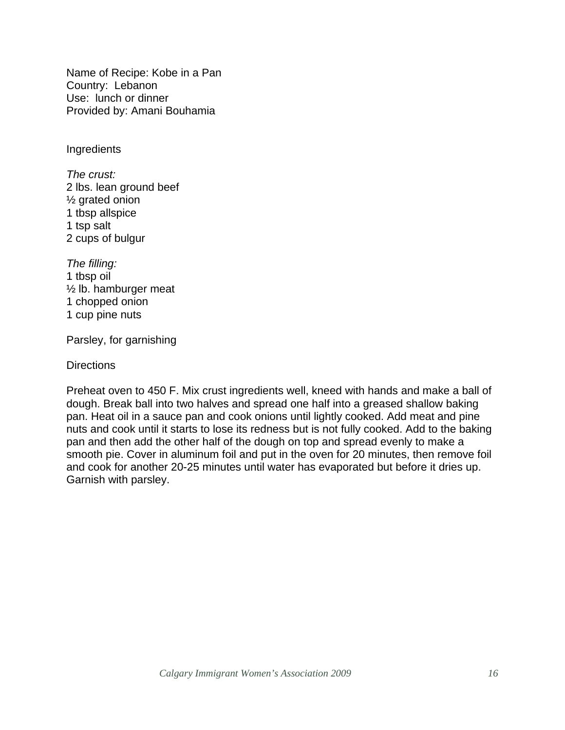Name of Recipe: Kobe in a Pan Country: Lebanon Use: lunch or dinner Provided by: Amani Bouhamia

**Ingredients** 

*The crust:*  2 lbs. lean ground beef ½ grated onion 1 tbsp allspice 1 tsp salt 2 cups of bulgur

*The filling:*  1 tbsp oil ½ lb. hamburger meat 1 chopped onion 1 cup pine nuts

Parsley, for garnishing

**Directions** 

Preheat oven to 450 F. Mix crust ingredients well, kneed with hands and make a ball of dough. Break ball into two halves and spread one half into a greased shallow baking pan. Heat oil in a sauce pan and cook onions until lightly cooked. Add meat and pine nuts and cook until it starts to lose its redness but is not fully cooked. Add to the baking pan and then add the other half of the dough on top and spread evenly to make a smooth pie. Cover in aluminum foil and put in the oven for 20 minutes, then remove foil and cook for another 20-25 minutes until water has evaporated but before it dries up. Garnish with parsley.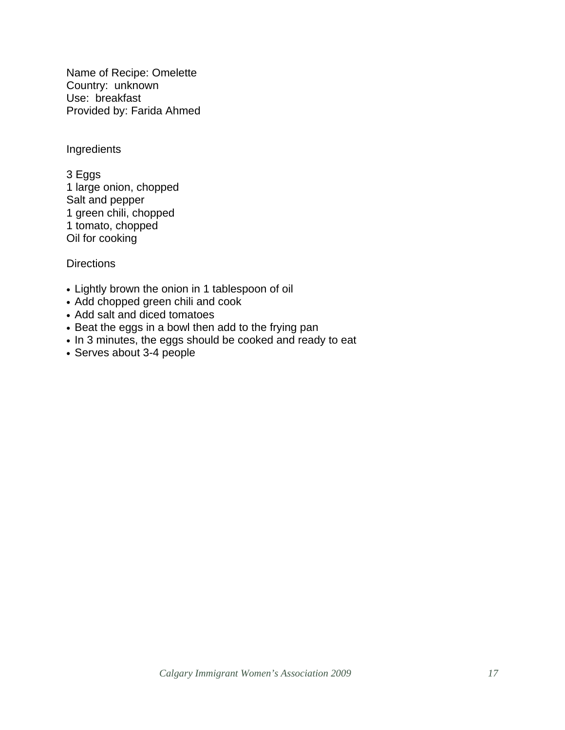Name of Recipe: Omelette Country: unknown Use: breakfast Provided by: Farida Ahmed

Ingredients

3 Eggs 1 large onion, chopped Salt and pepper 1 green chili, chopped 1 tomato, chopped Oil for cooking

- Lightly brown the onion in 1 tablespoon of oil
- Add chopped green chili and cook
- Add salt and diced tomatoes
- Beat the eggs in a bowl then add to the frying pan
- In 3 minutes, the eggs should be cooked and ready to eat
- Serves about 3-4 people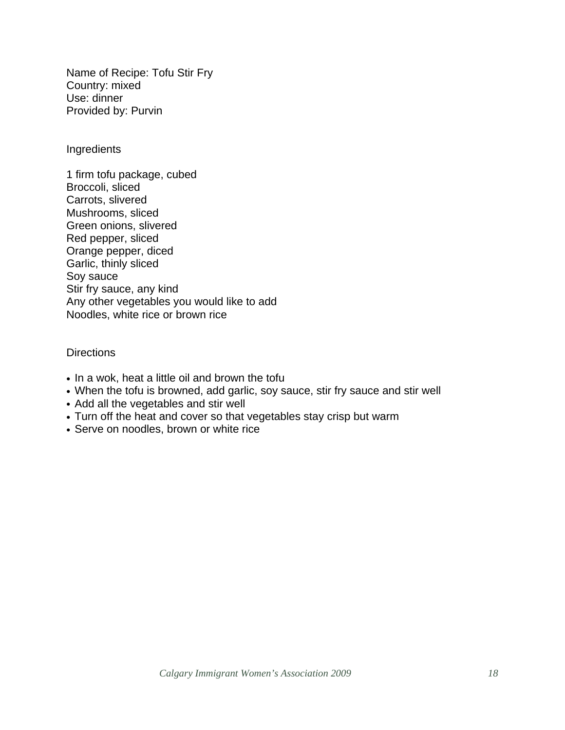Name of Recipe: Tofu Stir Fry Country: mixed Use: dinner Provided by: Purvin

**Ingredients** 

1 firm tofu package, cubed Broccoli, sliced Carrots, slivered Mushrooms, sliced Green onions, slivered Red pepper, sliced Orange pepper, diced Garlic, thinly sliced Soy sauce Stir fry sauce, any kind Any other vegetables you would like to add Noodles, white rice or brown rice

- In a wok, heat a little oil and brown the tofu
- When the tofu is browned, add garlic, soy sauce, stir fry sauce and stir well
- Add all the vegetables and stir well
- Turn off the heat and cover so that vegetables stay crisp but warm
- Serve on noodles, brown or white rice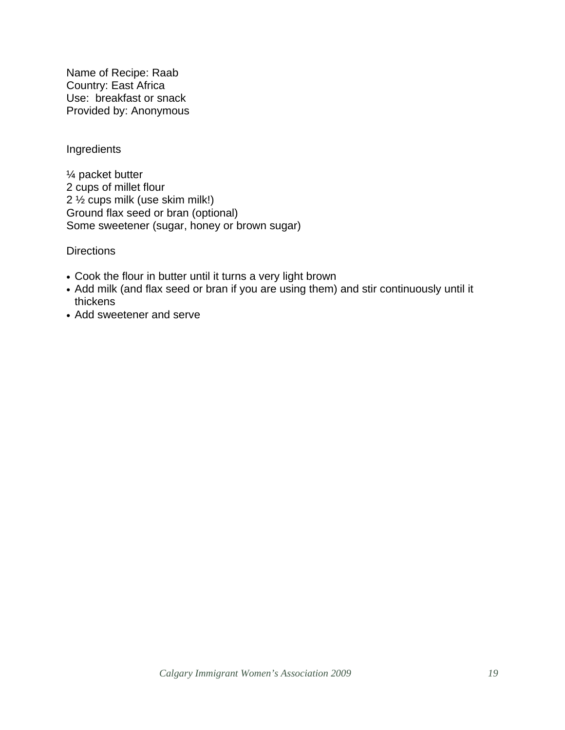Name of Recipe: Raab Country: East Africa Use: breakfast or snack Provided by: Anonymous

#### Ingredients

¼ packet butter 2 cups of millet flour 2 ½ cups milk (use skim milk!) Ground flax seed or bran (optional) Some sweetener (sugar, honey or brown sugar)

- Cook the flour in butter until it turns a very light brown
- Add milk (and flax seed or bran if you are using them) and stir continuously until it thickens
- Add sweetener and serve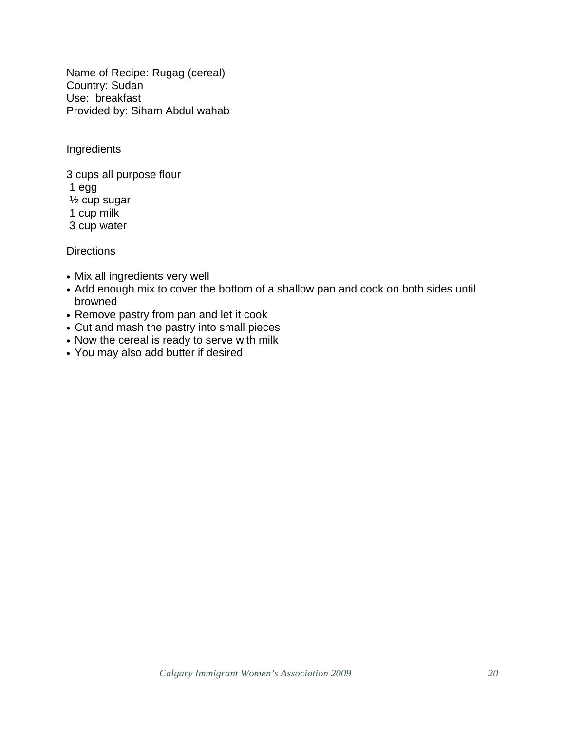Name of Recipe: Rugag (cereal) Country: Sudan Use: breakfast Provided by: Siham Abdul wahab

Ingredients

3 cups all purpose flour 1 egg ½ cup sugar 1 cup milk 3 cup water

- Mix all ingredients very well
- Add enough mix to cover the bottom of a shallow pan and cook on both sides until browned
- Remove pastry from pan and let it cook
- Cut and mash the pastry into small pieces
- Now the cereal is ready to serve with milk
- You may also add butter if desired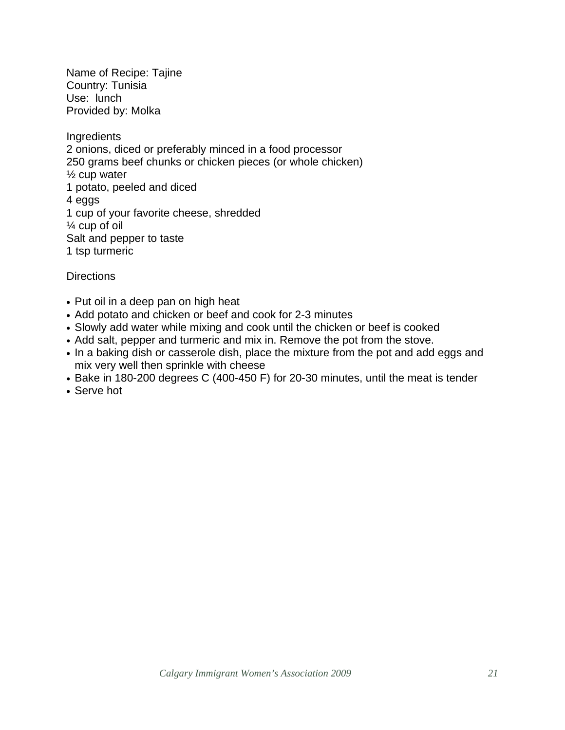Name of Recipe: Tajine Country: Tunisia Use: lunch Provided by: Molka

**Ingredients** 2 onions, diced or preferably minced in a food processor 250 grams beef chunks or chicken pieces (or whole chicken) ½ cup water 1 potato, peeled and diced 4 eggs 1 cup of your favorite cheese, shredded ¼ cup of oil Salt and pepper to taste 1 tsp turmeric

- Put oil in a deep pan on high heat
- Add potato and chicken or beef and cook for 2-3 minutes
- Slowly add water while mixing and cook until the chicken or beef is cooked
- Add salt, pepper and turmeric and mix in. Remove the pot from the stove.
- In a baking dish or casserole dish, place the mixture from the pot and add eggs and mix very well then sprinkle with cheese
- Bake in 180-200 degrees C (400-450 F) for 20-30 minutes, until the meat is tender
- Serve hot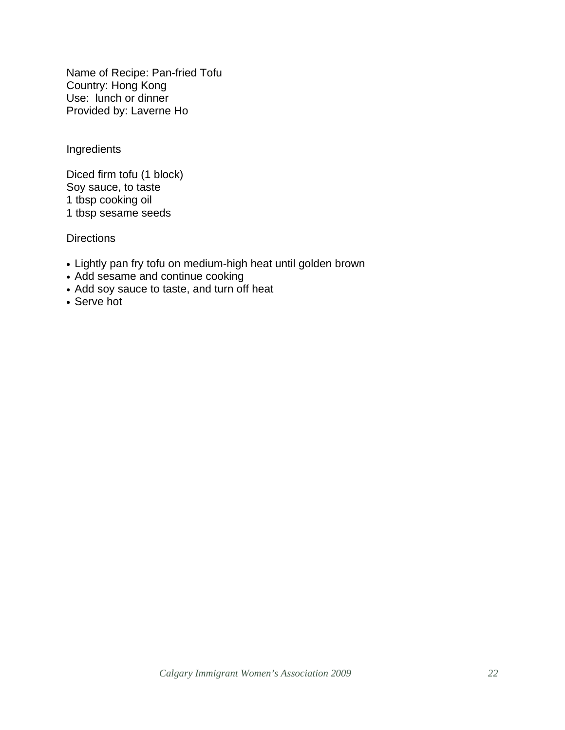Name of Recipe: Pan-fried Tofu Country: Hong Kong Use: lunch or dinner Provided by: Laverne Ho

Ingredients

Diced firm tofu (1 block) Soy sauce, to taste 1 tbsp cooking oil 1 tbsp sesame seeds

- Lightly pan fry tofu on medium-high heat until golden brown
- Add sesame and continue cooking
- Add soy sauce to taste, and turn off heat
- Serve hot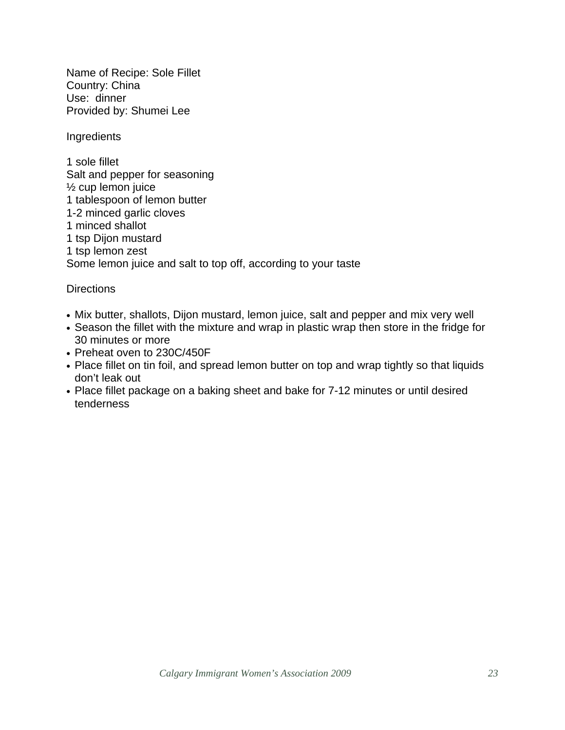Name of Recipe: Sole Fillet Country: China Use: dinner Provided by: Shumei Lee

Ingredients

1 sole fillet Salt and pepper for seasoning ½ cup lemon juice 1 tablespoon of lemon butter 1-2 minced garlic cloves 1 minced shallot 1 tsp Dijon mustard 1 tsp lemon zest Some lemon juice and salt to top off, according to your taste

- Mix butter, shallots, Dijon mustard, lemon juice, salt and pepper and mix very well
- Season the fillet with the mixture and wrap in plastic wrap then store in the fridge for 30 minutes or more
- Preheat oven to 230C/450F
- Place fillet on tin foil, and spread lemon butter on top and wrap tightly so that liquids don't leak out
- Place fillet package on a baking sheet and bake for 7-12 minutes or until desired tenderness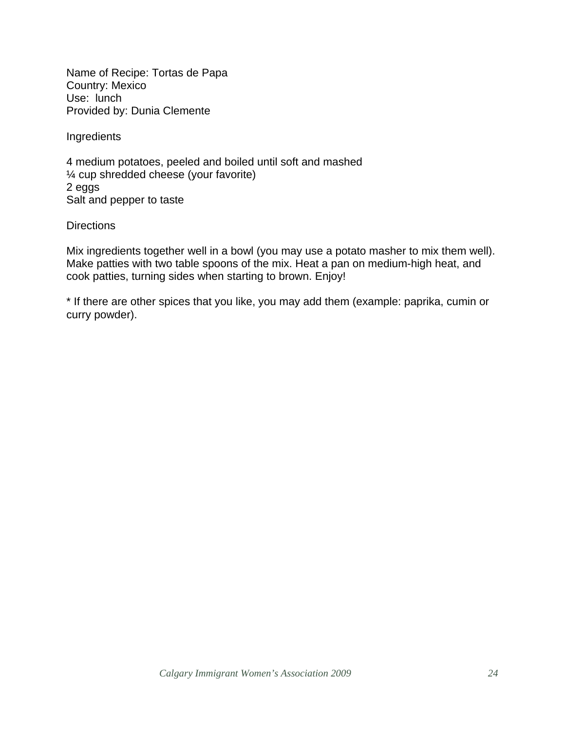Name of Recipe: Tortas de Papa Country: Mexico Use: lunch Provided by: Dunia Clemente

Ingredients

4 medium potatoes, peeled and boiled until soft and mashed ¼ cup shredded cheese (your favorite) 2 eggs Salt and pepper to taste

**Directions** 

Mix ingredients together well in a bowl (you may use a potato masher to mix them well). Make patties with two table spoons of the mix. Heat a pan on medium-high heat, and cook patties, turning sides when starting to brown. Enjoy!

\* If there are other spices that you like, you may add them (example: paprika, cumin or curry powder).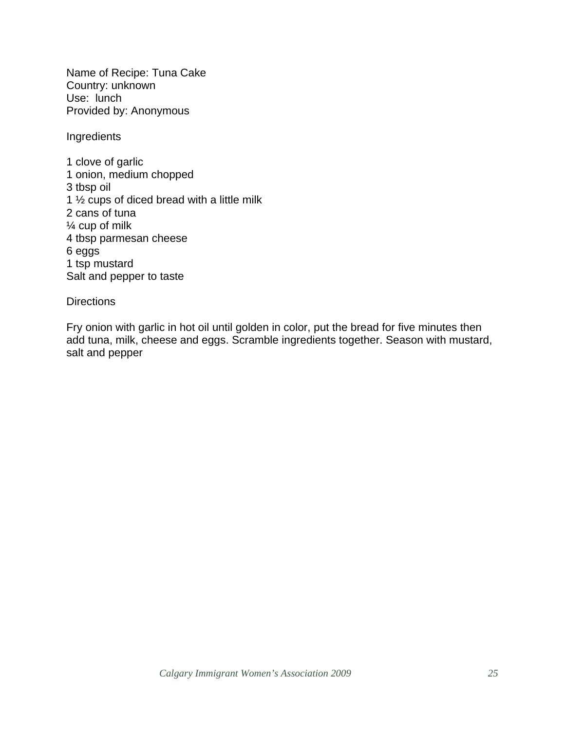Name of Recipe: Tuna Cake Country: unknown Use: lunch Provided by: Anonymous

Ingredients

1 clove of garlic 1 onion, medium chopped 3 tbsp oil 1 ½ cups of diced bread with a little milk 2 cans of tuna ¼ cup of milk 4 tbsp parmesan cheese 6 eggs 1 tsp mustard Salt and pepper to taste

#### **Directions**

Fry onion with garlic in hot oil until golden in color, put the bread for five minutes then add tuna, milk, cheese and eggs. Scramble ingredients together. Season with mustard, salt and pepper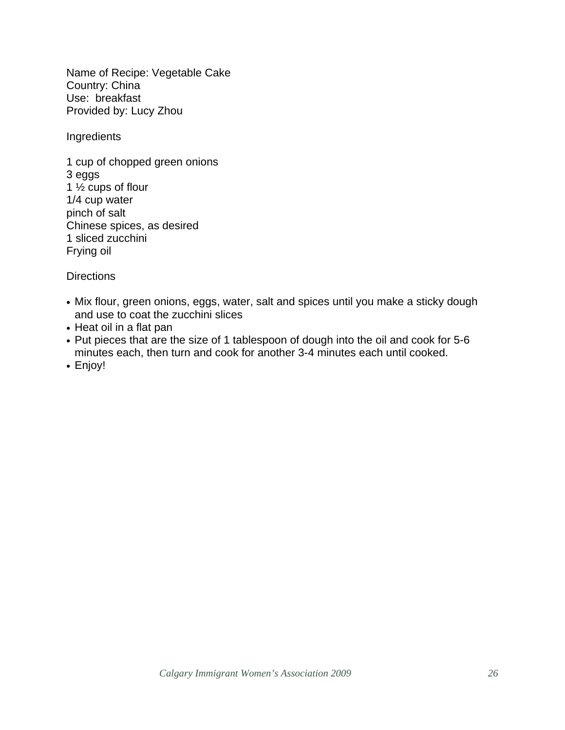Name of Recipe: Vegetable Cake Country: China Use: breakfast Provided by: Lucy Zhou

Ingredients

1 cup of chopped green onions 3 eggs 1  $\frac{1}{2}$  cups of flour 1/4 cup water pinch of salt Chinese spices, as desired 1 sliced zucchini Frying oil

- Mix flour, green onions, eggs, water, salt and spices until you make a sticky dough and use to coat the zucchini slices
- Heat oil in a flat pan
- Put pieces that are the size of 1 tablespoon of dough into the oil and cook for 5-6 minutes each, then turn and cook for another 3-4 minutes each until cooked.
- Enjoy!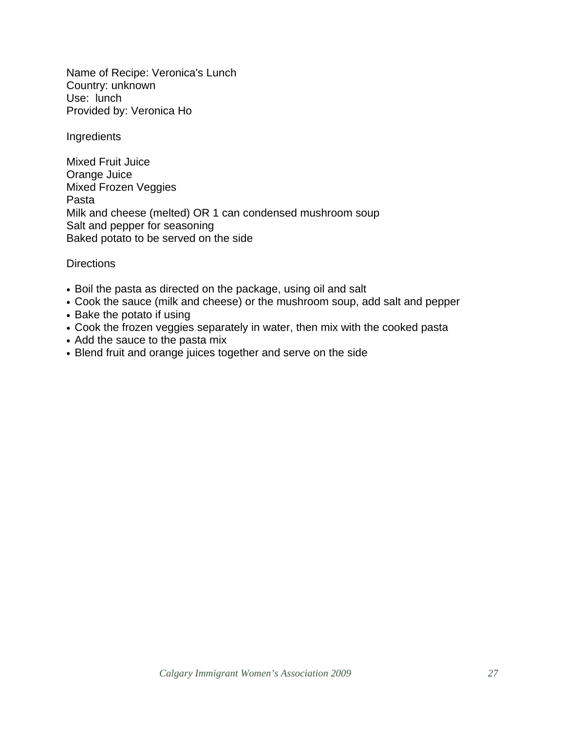Name of Recipe: Veronica's Lunch Country: unknown Use: lunch Provided by: Veronica Ho

Ingredients

Mixed Fruit Juice Orange Juice Mixed Frozen Veggies Pasta Milk and cheese (melted) OR 1 can condensed mushroom soup Salt and pepper for seasoning Baked potato to be served on the side

- Boil the pasta as directed on the package, using oil and salt
- Cook the sauce (milk and cheese) or the mushroom soup, add salt and pepper
- Bake the potato if using
- Cook the frozen veggies separately in water, then mix with the cooked pasta
- Add the sauce to the pasta mix
- Blend fruit and orange juices together and serve on the side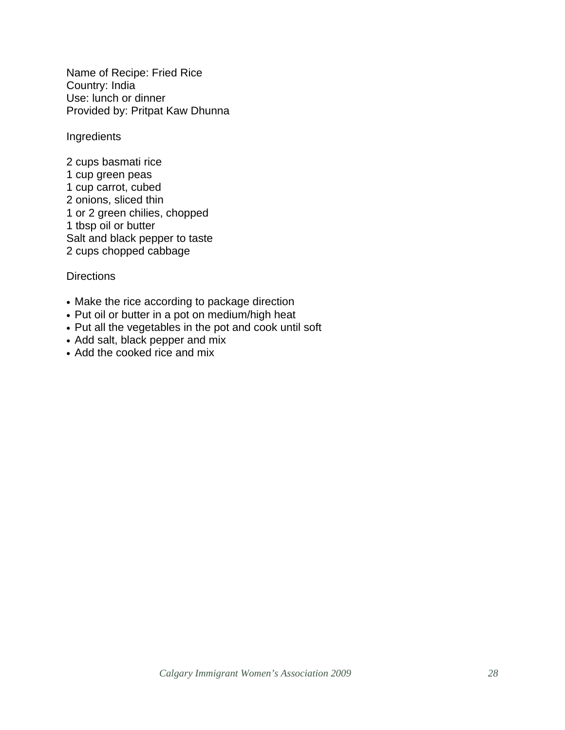Name of Recipe: Fried Rice Country: India Use: lunch or dinner Provided by: Pritpat Kaw Dhunna

Ingredients

2 cups basmati rice 1 cup green peas 1 cup carrot, cubed 2 onions, sliced thin 1 or 2 green chilies, chopped 1 tbsp oil or butter Salt and black pepper to taste 2 cups chopped cabbage

- Make the rice according to package direction
- Put oil or butter in a pot on medium/high heat
- Put all the vegetables in the pot and cook until soft
- Add salt, black pepper and mix
- Add the cooked rice and mix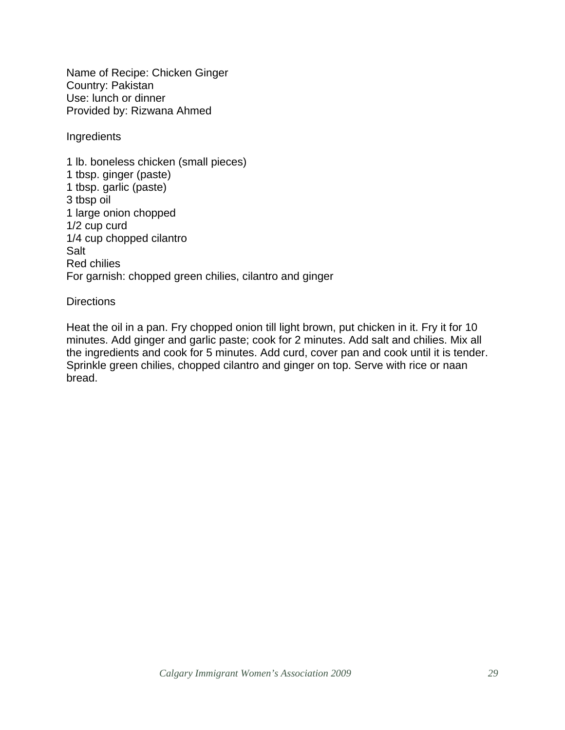Name of Recipe: Chicken Ginger Country: Pakistan Use: lunch or dinner Provided by: Rizwana Ahmed

Ingredients

1 lb. boneless chicken (small pieces) 1 tbsp. ginger (paste) 1 tbsp. garlic (paste) 3 tbsp oil 1 large onion chopped 1/2 cup curd 1/4 cup chopped cilantro Salt Red chilies For garnish: chopped green chilies, cilantro and ginger

#### **Directions**

Heat the oil in a pan. Fry chopped onion till light brown, put chicken in it. Fry it for 10 minutes. Add ginger and garlic paste; cook for 2 minutes. Add salt and chilies. Mix all the ingredients and cook for 5 minutes. Add curd, cover pan and cook until it is tender. Sprinkle green chilies, chopped cilantro and ginger on top. Serve with rice or naan bread.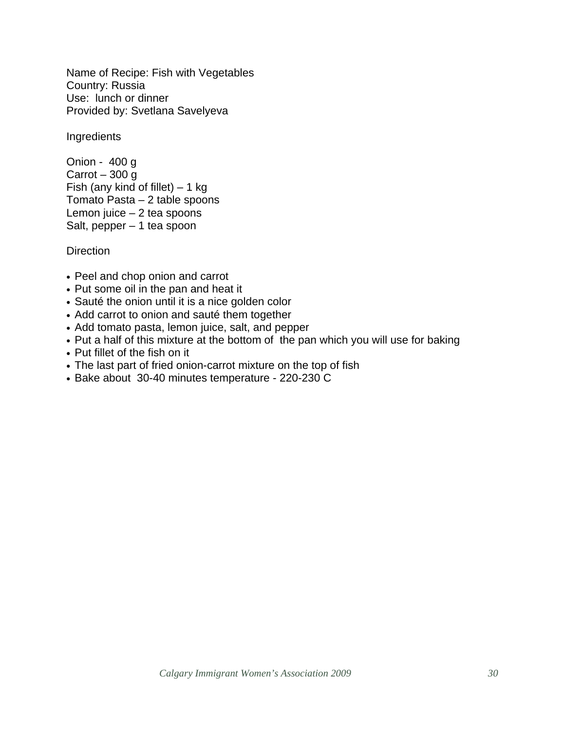Name of Recipe: Fish with Vegetables Country: Russia Use: lunch or dinner Provided by: Svetlana Savelyeva

**Ingredients** 

Onion - 400 g Carrot  $-300$  g Fish (any kind of fillet)  $-1$  kg Tomato Pasta – 2 table spoons Lemon juice – 2 tea spoons Salt, pepper – 1 tea spoon

- Peel and chop onion and carrot
- Put some oil in the pan and heat it
- Sauté the onion until it is a nice golden color
- Add carrot to onion and sauté them together
- Add tomato pasta, lemon juice, salt, and pepper
- Put a half of this mixture at the bottom of the pan which you will use for baking
- Put fillet of the fish on it
- The last part of fried onion-carrot mixture on the top of fish
- Bake about 30-40 minutes temperature 220-230 C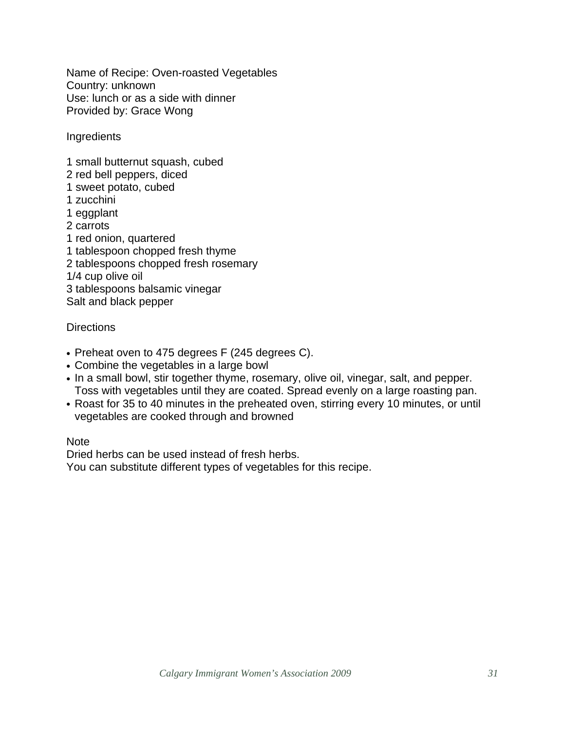Name of Recipe: Oven-roasted Vegetables Country: unknown Use: lunch or as a side with dinner Provided by: Grace Wong

**Ingredients** 

- 1 small butternut squash, cubed
- 2 red bell peppers, diced
- 1 sweet potato, cubed
- 1 zucchini
- 1 eggplant
- 2 carrots
- 1 red onion, quartered
- 1 tablespoon chopped fresh thyme
- 2 tablespoons chopped fresh rosemary
- 1/4 cup olive oil
- 3 tablespoons balsamic vinegar

Salt and black pepper

#### **Directions**

- Preheat oven to 475 degrees F (245 degrees C).
- Combine the vegetables in a large bowl
- In a small bowl, stir together thyme, rosemary, olive oil, vinegar, salt, and pepper. Toss with vegetables until they are coated. Spread evenly on a large roasting pan.
- Roast for 35 to 40 minutes in the preheated oven, stirring every 10 minutes, or until vegetables are cooked through and browned

Note

Dried herbs can be used instead of fresh herbs.

You can substitute different types of vegetables for this recipe.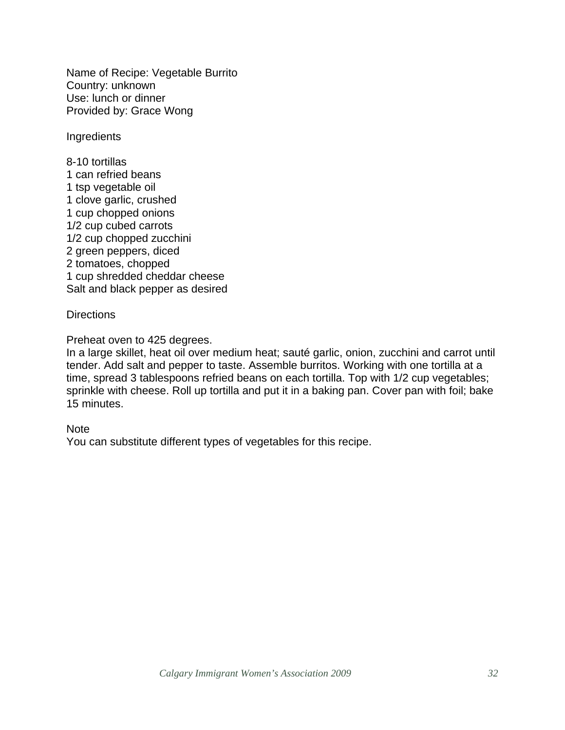Name of Recipe: Vegetable Burrito Country: unknown Use: lunch or dinner Provided by: Grace Wong

**Ingredients** 

8-10 tortillas 1 can refried beans 1 tsp vegetable oil 1 clove garlic, crushed 1 cup chopped onions 1/2 cup cubed carrots 1/2 cup chopped zucchini 2 green peppers, diced 2 tomatoes, chopped 1 cup shredded cheddar cheese Salt and black pepper as desired

#### **Directions**

Preheat oven to 425 degrees.

In a large skillet, heat oil over medium heat; sauté garlic, onion, zucchini and carrot until tender. Add salt and pepper to taste. Assemble burritos. Working with one tortilla at a time, spread 3 tablespoons refried beans on each tortilla. Top with 1/2 cup vegetables; sprinkle with cheese. Roll up tortilla and put it in a baking pan. Cover pan with foil; bake 15 minutes.

#### Note

You can substitute different types of vegetables for this recipe.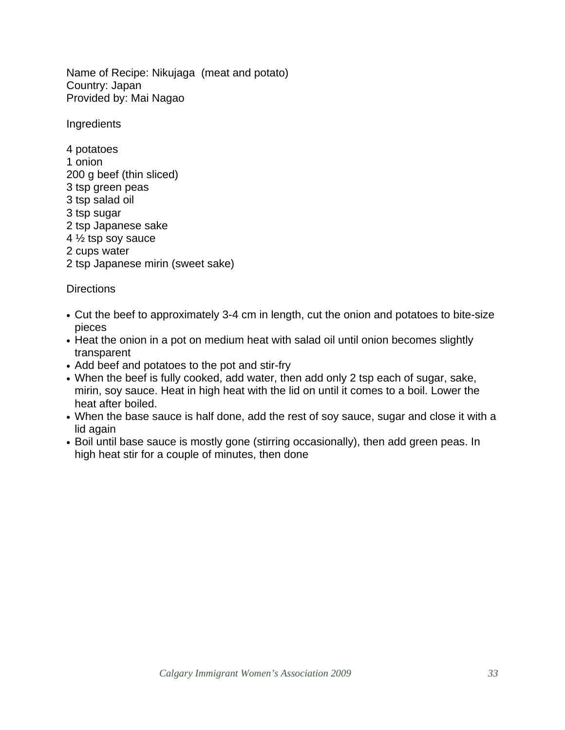Name of Recipe: Nikujaga (meat and potato) Country: Japan Provided by: Mai Nagao

**Ingredients** 

4 potatoes 1 onion 200 g beef (thin sliced) 3 tsp green peas 3 tsp salad oil 3 tsp sugar 2 tsp Japanese sake 4 ½ tsp soy sauce 2 cups water 2 tsp Japanese mirin (sweet sake)

- Cut the beef to approximately 3-4 cm in length, cut the onion and potatoes to bite-size pieces
- Heat the onion in a pot on medium heat with salad oil until onion becomes slightly transparent
- Add beef and potatoes to the pot and stir-fry
- When the beef is fully cooked, add water, then add only 2 tsp each of sugar, sake, mirin, soy sauce. Heat in high heat with the lid on until it comes to a boil. Lower the heat after boiled.
- When the base sauce is half done, add the rest of soy sauce, sugar and close it with a lid again
- Boil until base sauce is mostly gone (stirring occasionally), then add green peas. In high heat stir for a couple of minutes, then done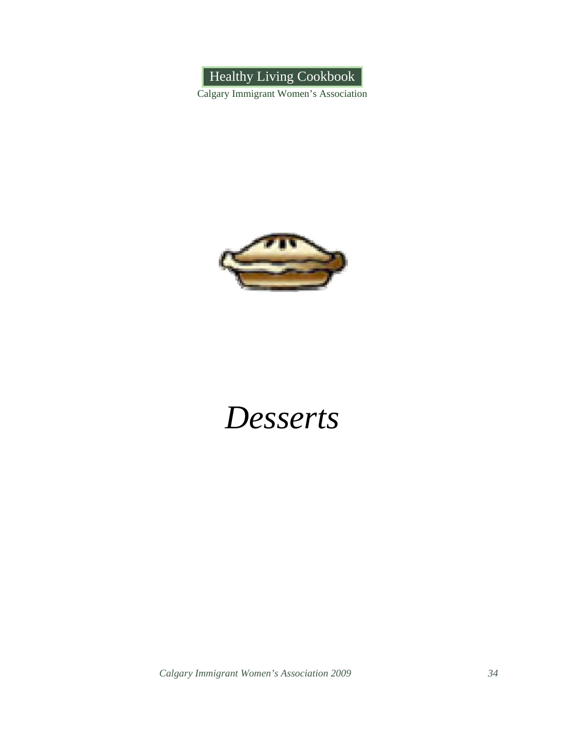Healthy Living Cookbook

Calgary Immigrant Women's Association



### *Desserts*

*Calgary Immigrant Women's Association 2009 34*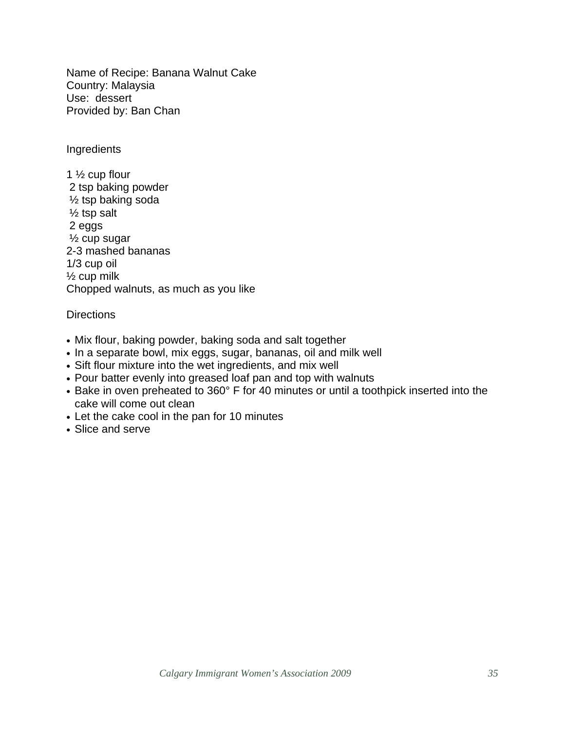Name of Recipe: Banana Walnut Cake Country: Malaysia Use: dessert Provided by: Ban Chan

**Ingredients** 

1 ½ cup flour 2 tsp baking powder ½ tsp baking soda ½ tsp salt 2 eggs ½ cup sugar 2-3 mashed bananas 1/3 cup oil  $\frac{1}{2}$  cup milk Chopped walnuts, as much as you like

- Mix flour, baking powder, baking soda and salt together
- In a separate bowl, mix eggs, sugar, bananas, oil and milk well
- Sift flour mixture into the wet ingredients, and mix well
- Pour batter evenly into greased loaf pan and top with walnuts
- Bake in oven preheated to 360° F for 40 minutes or until a toothpick inserted into the cake will come out clean
- Let the cake cool in the pan for 10 minutes
- Slice and serve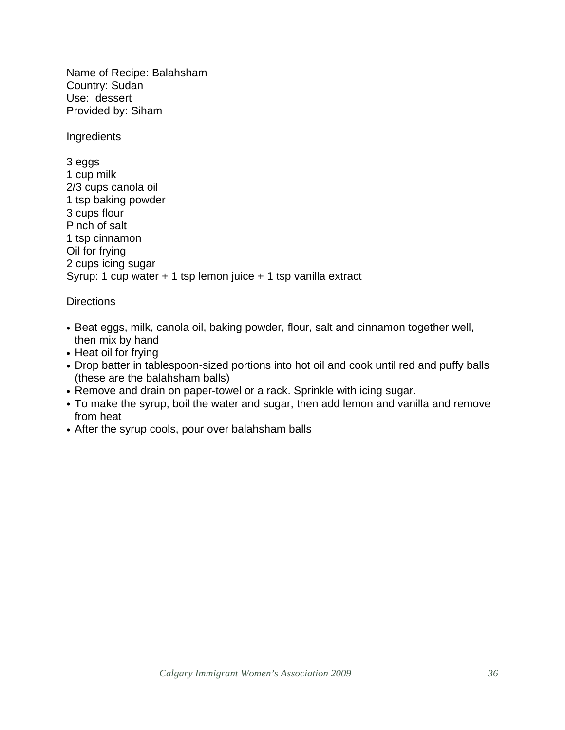Name of Recipe: Balahsham Country: Sudan Use: dessert Provided by: Siham

**Ingredients** 

3 eggs 1 cup milk 2/3 cups canola oil 1 tsp baking powder 3 cups flour Pinch of salt 1 tsp cinnamon Oil for frying 2 cups icing sugar Syrup: 1 cup water + 1 tsp lemon juice + 1 tsp vanilla extract

- Beat eggs, milk, canola oil, baking powder, flour, salt and cinnamon together well, then mix by hand
- Heat oil for frying
- Drop batter in tablespoon-sized portions into hot oil and cook until red and puffy balls (these are the balahsham balls)
- Remove and drain on paper-towel or a rack. Sprinkle with icing sugar.
- To make the syrup, boil the water and sugar, then add lemon and vanilla and remove from heat
- After the syrup cools, pour over balahsham balls